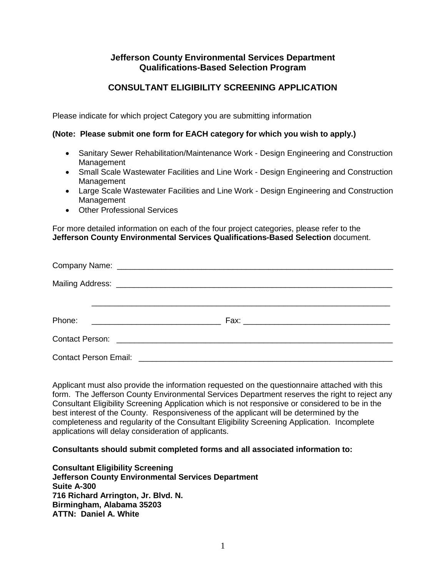## **Jefferson County Environmental Services Department Qualifications-Based Selection Program**

# **CONSULTANT ELIGIBILITY SCREENING APPLICATION**

Please indicate for which project Category you are submitting information

### **(Note: Please submit one form for EACH category for which you wish to apply.)**

- Sanitary Sewer Rehabilitation/Maintenance Work Design Engineering and Construction Management
- Small Scale Wastewater Facilities and Line Work Design Engineering and Construction Management
- Large Scale Wastewater Facilities and Line Work Design Engineering and Construction Management
- Other Professional Services

For more detailed information on each of the four project categories, please refer to the **Jefferson County Environmental Services Qualifications-Based Selection** document.

| Phone:                                                  |  |
|---------------------------------------------------------|--|
|                                                         |  |
| Contact Person Email: <b>Contact Person Email:</b> 2001 |  |

Applicant must also provide the information requested on the questionnaire attached with this form. The Jefferson County Environmental Services Department reserves the right to reject any Consultant Eligibility Screening Application which is not responsive or considered to be in the best interest of the County. Responsiveness of the applicant will be determined by the completeness and regularity of the Consultant Eligibility Screening Application. Incomplete applications will delay consideration of applicants.

#### **Consultants should submit completed forms and all associated information to:**

**Consultant Eligibility Screening Jefferson County Environmental Services Department Suite A-300 716 Richard Arrington, Jr. Blvd. N. Birmingham, Alabama 35203 ATTN: Daniel A. White**